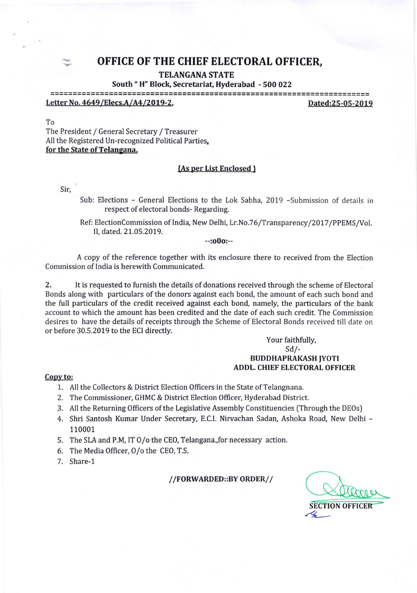# : OFFICE OF THE CHIEF ELECTORAL OFFICER,

**TELANGANA STATE** 

## South " H" Block, Secretariat, Hyderabad - 500 022

Letter No. 4649/Elecs.A/A4/2019-2. 2019 and 25-05-2019

To

The President / General Secretary / Treasurer All the Registered Un-recognized Political Parties, for the State of Telangana.

#### {As ner List Enclosed }

### Sir,

- Sub: Elections General Elections to the Lok Sabha, 2019 -Submission of details in respect of electoral bonds- Regarding.
- Ref: ElectionCommission of India, New Delhi, Lr.No.76/Transparency/2017/PPEMS/Vol. II, dated.21.05.2019.

--:o0o:--

A copy of the reference together with its enclosure there to received from the Election Commission of India is herewith Communicated.

2, It is requested to furnish the details of donations received through the scheme of Electoral Bonds along with particulars of the donors against each bond, the amount of each such bond and the full particulars of the credit received against each bond, namely, the particulars of the bank account to which the amount has been credited and the date of each such credit. The Commission desires to have the details of receipts through the Scheme of Electoral Bonds received till date on or before 30.5.2019 to the ECI directly.

## Your faithfully,  $Sd$  /-BUDDHAPRAKASH JYOTI ADDL. CHIEF ELECTORAL OFFICER

#### Copy to:

- 1. All the Collectors & District Election Officers in the State of Telangnana.
- 2. The Commissioner, GHMC & District Election Officer, Hyderabad District.
- 3. All the Returning Officers of the Legislative Assembly Constituencies (Through the DEOs)
- 4. Shri Santosh Kumar Under Secretary, E.C.I. Nirvachan Sadan, Ashoka Road, New Delhi -110001
- 5. The SLA and P.M, IT O/o the CEO, Telangana.,for necessary action.
- 6. The Media 0fhcer, O/o the CEO,T.S.
- 7. Share-1

//FORWARDED::BY ORDER//

**SECTION OFFICER**  $\prec$